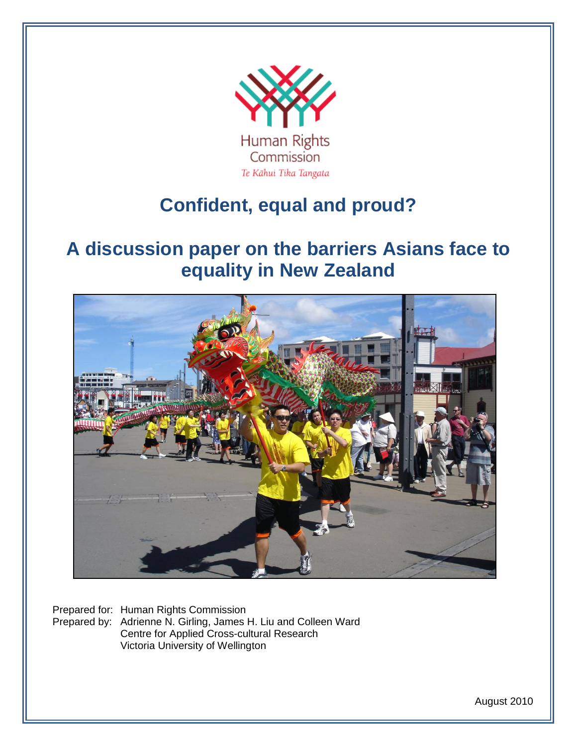

# **Confident, equal and proud?**

# **A discussion paper on the barriers Asians face to equality in New Zealand**



Prepared for: Human Rights Commission Prepared by: Adrienne N. Girling, James H. Liu and Colleen Ward Centre for Applied Cross-cultural Research Victoria University of Wellington

August 2010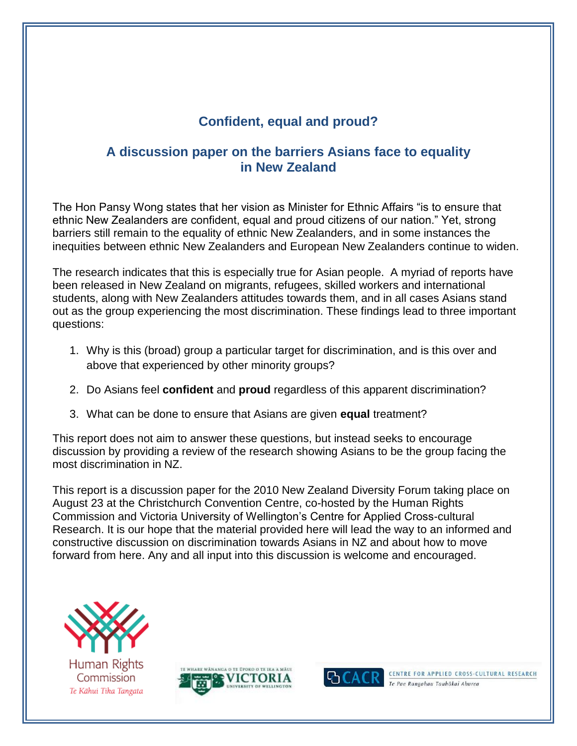# **Confident, equal and proud?**

# **A discussion paper on the barriers Asians face to equality in New Zealand**

The Hon Pansy Wong states that her vision as Minister for Ethnic Affairs "is to ensure that ethnic New Zealanders are confident, equal and proud citizens of our nation." Yet, strong barriers still remain to the equality of ethnic New Zealanders, and in some instances the inequities between ethnic New Zealanders and European New Zealanders continue to widen.

The research indicates that this is especially true for Asian people. A myriad of reports have been released in New Zealand on migrants, refugees, skilled workers and international students, along with New Zealanders attitudes towards them, and in all cases Asians stand out as the group experiencing the most discrimination. These findings lead to three important questions:

- 1. Why is this (broad) group a particular target for discrimination, and is this over and above that experienced by other minority groups?
- 2. Do Asians feel **confident** and **proud** regardless of this apparent discrimination?
- 3. What can be done to ensure that Asians are given **equal** treatment?

This report does not aim to answer these questions, but instead seeks to encourage discussion by providing a review of the research showing Asians to be the group facing the most discrimination in NZ.

This report is a discussion paper for the 2010 New Zealand Diversity Forum taking place on August 23 at the Christchurch Convention Centre, co-hosted by the Human Rights Commission and Victoria University of Wellington's Centre for Applied Cross-cultural Research. It is our hope that the material provided here will lead the way to an informed and constructive discussion on discrimination towards Asians in NZ and about how to move forward from here. Any and all input into this discussion is welcome and encouraged.



Commission Te Kāhui Tika Tangata





CENTRE FOR APPLIED CROSS-CULTURAL RESEARCH Te Pae Rangahau Tauhōkai Ahurea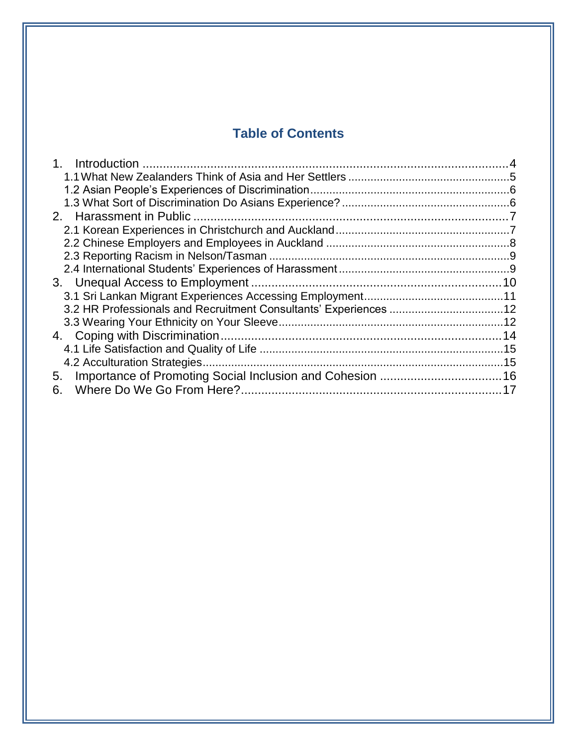# **Table of Contents**

| 3.2 HR Professionals and Recruitment Consultants' Experiences 12 |  |
|------------------------------------------------------------------|--|
|                                                                  |  |
|                                                                  |  |
|                                                                  |  |
|                                                                  |  |
| 5.                                                               |  |
| 6.                                                               |  |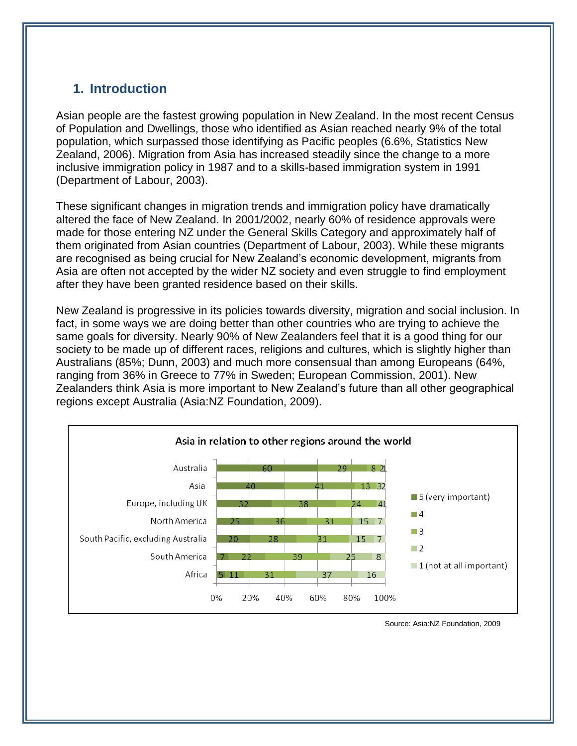# **1. Introduction**

Asian people are the fastest growing population in New Zealand. In the most recent Census of Population and Dwellings, those who identified as Asian reached nearly 9% of the total population, which surpassed those identifying as Pacific peoples (6.6%, Statistics New Zealand, 2006). Migration from Asia has increased steadily since the change to a more inclusive immigration policy in 1987 and to a skills-based immigration system in 1991 (Department of Labour, 2003).

These significant changes in migration trends and immigration policy have dramatically altered the face of New Zealand. In 2001/2002, nearly 60% of residence approvals were made for those entering NZ under the General Skills Category and approximately half of them originated from Asian countries (Department of Labour, 2003). While these migrants are recognised as being crucial for New Zealand's economic development, migrants from Asia are often not accepted by the wider NZ society and even struggle to find employment after they have been granted residence based on their skills.

New Zealand is progressive in its policies towards diversity, migration and social inclusion. In fact, in some ways we are doing better than other countries who are trying to achieve the same goals for diversity. Nearly 90% of New Zealanders feel that it is a good thing for our society to be made up of different races, religions and cultures, which is slightly higher than Australians (85%; Dunn, 2003) and much more consensual than among Europeans (64%, ranging from 36% in Greece to 77% in Sweden; European Commission, 2001). New Zealanders think Asia is more important to New Zealand's future than all other geographical regions except Australia (Asia:NZ Foundation, 2009).



Source: Asia:NZ Foundation, 2009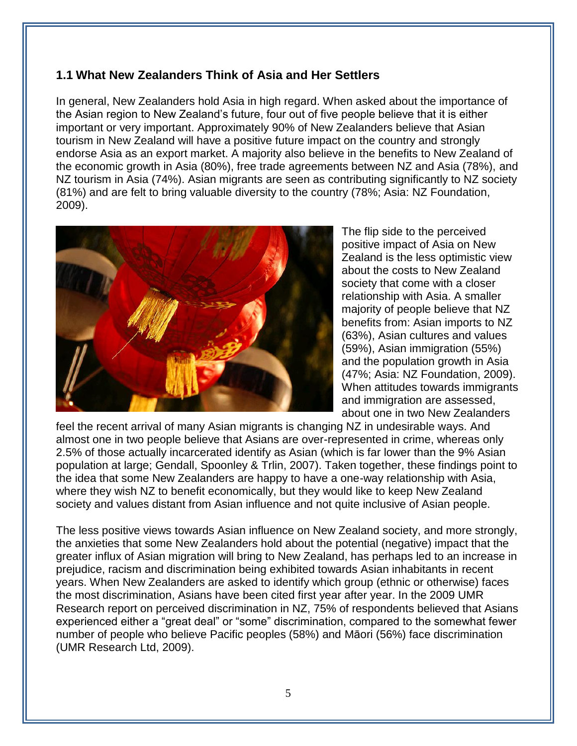## **1.1 What New Zealanders Think of Asia and Her Settlers**

In general, New Zealanders hold Asia in high regard. When asked about the importance of the Asian region to New Zealand's future, four out of five people believe that it is either important or very important. Approximately 90% of New Zealanders believe that Asian tourism in New Zealand will have a positive future impact on the country and strongly endorse Asia as an export market. A majority also believe in the benefits to New Zealand of the economic growth in Asia (80%), free trade agreements between NZ and Asia (78%), and NZ tourism in Asia (74%). Asian migrants are seen as contributing significantly to NZ society (81%) and are felt to bring valuable diversity to the country (78%; Asia: NZ Foundation, 2009).



The flip side to the perceived positive impact of Asia on New Zealand is the less optimistic view about the costs to New Zealand society that come with a closer relationship with Asia. A smaller majority of people believe that NZ benefits from: Asian imports to NZ (63%), Asian cultures and values (59%), Asian immigration (55%) and the population growth in Asia (47%; Asia: NZ Foundation, 2009). When attitudes towards immigrants and immigration are assessed, about one in two New Zealanders

feel the recent arrival of many Asian migrants is changing NZ in undesirable ways. And almost one in two people believe that Asians are over-represented in crime, whereas only 2.5% of those actually incarcerated identify as Asian (which is far lower than the 9% Asian population at large; Gendall, Spoonley & Trlin, 2007). Taken together, these findings point to the idea that some New Zealanders are happy to have a one-way relationship with Asia, where they wish NZ to benefit economically, but they would like to keep New Zealand society and values distant from Asian influence and not quite inclusive of Asian people.

The less positive views towards Asian influence on New Zealand society, and more strongly, the anxieties that some New Zealanders hold about the potential (negative) impact that the greater influx of Asian migration will bring to New Zealand, has perhaps led to an increase in prejudice, racism and discrimination being exhibited towards Asian inhabitants in recent years. When New Zealanders are asked to identify which group (ethnic or otherwise) faces the most discrimination, Asians have been cited first year after year. In the 2009 UMR Research report on perceived discrimination in NZ, 75% of respondents believed that Asians experienced either a "great deal" or "some" discrimination, compared to the somewhat fewer number of people who believe Pacific peoples (58%) and Māori (56%) face discrimination (UMR Research Ltd, 2009).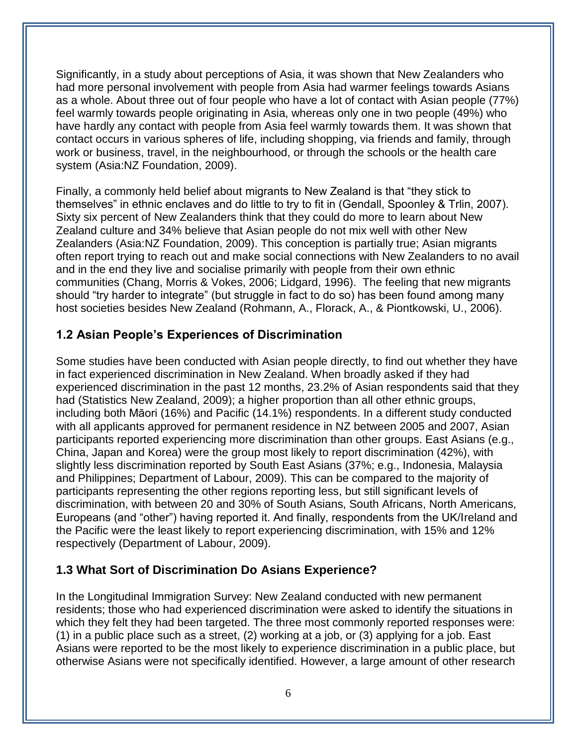Significantly, in a study about perceptions of Asia, it was shown that New Zealanders who had more personal involvement with people from Asia had warmer feelings towards Asians as a whole. About three out of four people who have a lot of contact with Asian people (77%) feel warmly towards people originating in Asia, whereas only one in two people (49%) who have hardly any contact with people from Asia feel warmly towards them. It was shown that contact occurs in various spheres of life, including shopping, via friends and family, through work or business, travel, in the neighbourhood, or through the schools or the health care system (Asia:NZ Foundation, 2009).

Finally, a commonly held belief about migrants to New Zealand is that "they stick to themselves" in ethnic enclaves and do little to try to fit in (Gendall, Spoonley & Trlin, 2007). Sixty six percent of New Zealanders think that they could do more to learn about New Zealand culture and 34% believe that Asian people do not mix well with other New Zealanders (Asia:NZ Foundation, 2009). This conception is partially true; Asian migrants often report trying to reach out and make social connections with New Zealanders to no avail and in the end they live and socialise primarily with people from their own ethnic communities (Chang, Morris & Vokes, 2006; Lidgard, 1996). The feeling that new migrants should "try harder to integrate" (but struggle in fact to do so) has been found among many host societies besides New Zealand (Rohmann, A., Florack, A., & Piontkowski, U., 2006).

## **1.2 Asian People's Experiences of Discrimination**

Some studies have been conducted with Asian people directly, to find out whether they have in fact experienced discrimination in New Zealand. When broadly asked if they had experienced discrimination in the past 12 months, 23.2% of Asian respondents said that they had (Statistics New Zealand, 2009); a higher proportion than all other ethnic groups, including both Māori (16%) and Pacific (14.1%) respondents. In a different study conducted with all applicants approved for permanent residence in NZ between 2005 and 2007, Asian participants reported experiencing more discrimination than other groups. East Asians (e.g., China, Japan and Korea) were the group most likely to report discrimination (42%), with slightly less discrimination reported by South East Asians (37%; e.g., Indonesia, Malaysia and Philippines; Department of Labour, 2009). This can be compared to the majority of participants representing the other regions reporting less, but still significant levels of discrimination, with between 20 and 30% of South Asians, South Africans, North Americans, Europeans (and "other") having reported it. And finally, respondents from the UK/Ireland and the Pacific were the least likely to report experiencing discrimination, with 15% and 12% respectively (Department of Labour, 2009).

#### **1.3 What Sort of Discrimination Do Asians Experience?**

In the Longitudinal Immigration Survey: New Zealand conducted with new permanent residents; those who had experienced discrimination were asked to identify the situations in which they felt they had been targeted. The three most commonly reported responses were: (1) in a public place such as a street, (2) working at a job, or (3) applying for a job. East Asians were reported to be the most likely to experience discrimination in a public place, but otherwise Asians were not specifically identified. However, a large amount of other research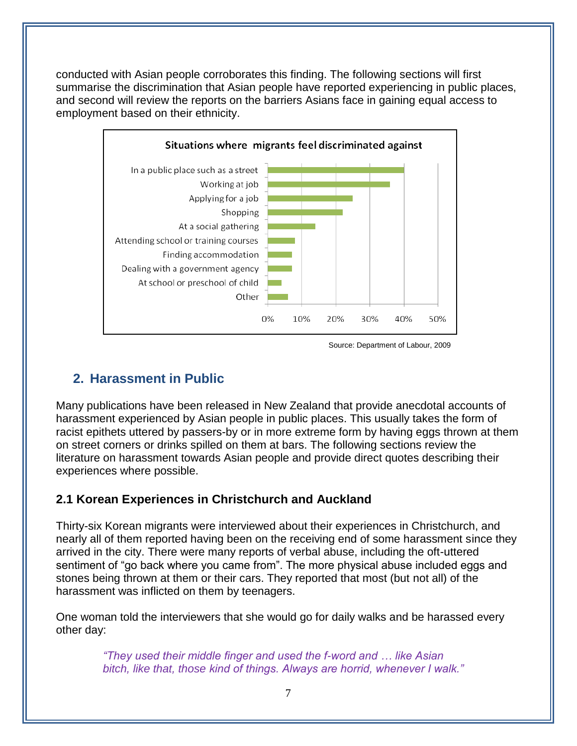conducted with Asian people corroborates this finding. The following sections will first summarise the discrimination that Asian people have reported experiencing in public places, and second will review the reports on the barriers Asians face in gaining equal access to employment based on their ethnicity.



Source: Department of Labour, 2009

# **2. Harassment in Public**

Many publications have been released in New Zealand that provide anecdotal accounts of harassment experienced by Asian people in public places. This usually takes the form of racist epithets uttered by passers-by or in more extreme form by having eggs thrown at them on street corners or drinks spilled on them at bars. The following sections review the literature on harassment towards Asian people and provide direct quotes describing their experiences where possible.

## **2.1 Korean Experiences in Christchurch and Auckland**

Thirty-six Korean migrants were interviewed about their experiences in Christchurch, and nearly all of them reported having been on the receiving end of some harassment since they arrived in the city. There were many reports of verbal abuse, including the oft-uttered sentiment of "go back where you came from". The more physical abuse included eggs and stones being thrown at them or their cars. They reported that most (but not all) of the harassment was inflicted on them by teenagers.

One woman told the interviewers that she would go for daily walks and be harassed every other day:

> *"They used their middle finger and used the f-word and … like Asian bitch, like that, those kind of things. Always are horrid, whenever I walk."*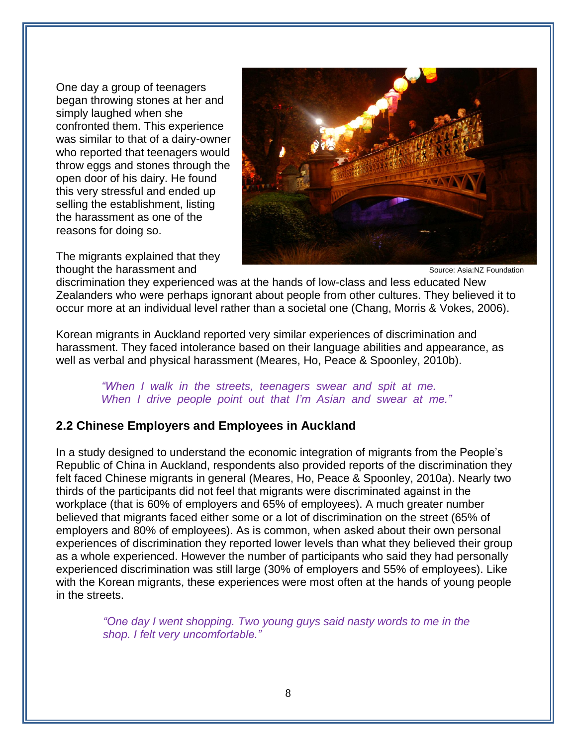One day a group of teenagers began throwing stones at her and simply laughed when she confronted them. This experience was similar to that of a dairy-owner who reported that teenagers would throw eggs and stones through the open door of his dairy. He found this very stressful and ended up selling the establishment, listing the harassment as one of the reasons for doing so.



The migrants explained that they thought the harassment and

Source: Asia:NZ Foundation

discrimination they experienced was at the hands of low-class and less educated New Zealanders who were perhaps ignorant about people from other cultures. They believed it to occur more at an individual level rather than a societal one (Chang, Morris & Vokes, 2006).

Korean migrants in Auckland reported very similar experiences of discrimination and harassment. They faced intolerance based on their language abilities and appearance, as well as verbal and physical harassment (Meares, Ho, Peace & Spoonley, 2010b).

> *"When I walk in the streets, teenagers swear and spit at me. When I drive people point out that I"m Asian and swear at me."*

#### **2.2 Chinese Employers and Employees in Auckland**

In a study designed to understand the economic integration of migrants from the People's Republic of China in Auckland, respondents also provided reports of the discrimination they felt faced Chinese migrants in general (Meares, Ho, Peace & Spoonley, 2010a). Nearly two thirds of the participants did not feel that migrants were discriminated against in the workplace (that is 60% of employers and 65% of employees). A much greater number believed that migrants faced either some or a lot of discrimination on the street (65% of employers and 80% of employees). As is common, when asked about their own personal experiences of discrimination they reported lower levels than what they believed their group as a whole experienced. However the number of participants who said they had personally experienced discrimination was still large (30% of employers and 55% of employees). Like with the Korean migrants, these experiences were most often at the hands of young people in the streets.

> *"One day I went shopping. Two young guys said nasty words to me in the shop. I felt very uncomfortable."*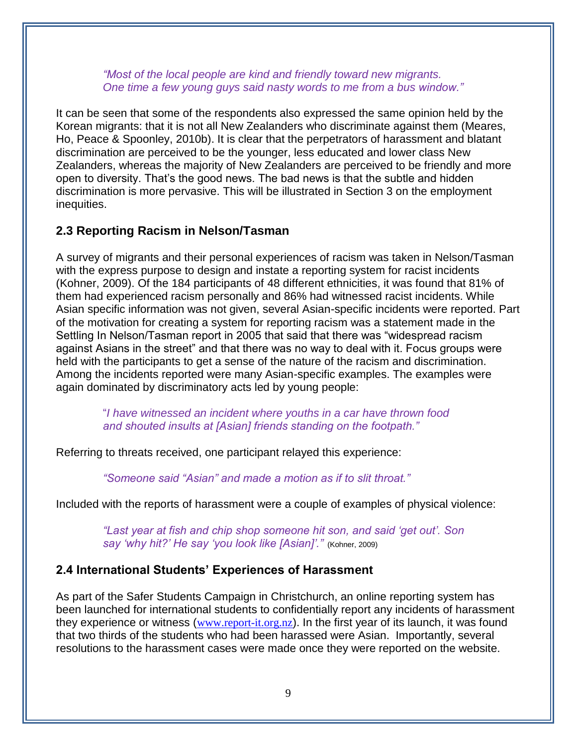*"Most of the local people are kind and friendly toward new migrants. One time a few young guys said nasty words to me from a bus window."*

It can be seen that some of the respondents also expressed the same opinion held by the Korean migrants: that it is not all New Zealanders who discriminate against them (Meares, Ho, Peace & Spoonley, 2010b). It is clear that the perpetrators of harassment and blatant discrimination are perceived to be the younger, less educated and lower class New Zealanders, whereas the majority of New Zealanders are perceived to be friendly and more open to diversity. That's the good news. The bad news is that the subtle and hidden discrimination is more pervasive. This will be illustrated in Section 3 on the employment inequities.

#### **2.3 Reporting Racism in Nelson/Tasman**

A survey of migrants and their personal experiences of racism was taken in Nelson/Tasman with the express purpose to design and instate a reporting system for racist incidents (Kohner, 2009). Of the 184 participants of 48 different ethnicities, it was found that 81% of them had experienced racism personally and 86% had witnessed racist incidents. While Asian specific information was not given, several Asian-specific incidents were reported. Part of the motivation for creating a system for reporting racism was a statement made in the Settling In Nelson/Tasman report in 2005 that said that there was "widespread racism against Asians in the street" and that there was no way to deal with it. Focus groups were held with the participants to get a sense of the nature of the racism and discrimination. Among the incidents reported were many Asian-specific examples. The examples were again dominated by discriminatory acts led by young people:

"*I have witnessed an incident where youths in a car have thrown food and shouted insults at [Asian] friends standing on the footpath."*

Referring to threats received, one participant relayed this experience:

*"Someone said "Asian" and made a motion as if to slit throat."*

Included with the reports of harassment were a couple of examples of physical violence:

*"Last year at fish and chip shop someone hit son, and said "get out". Son say "why hit?" He say "you look like [Asian]"."* (Kohner, 2009)

#### **2.4 International Students' Experiences of Harassment**

As part of the Safer Students Campaign in Christchurch, an online reporting system has been launched for international students to confidentially report any incidents of harassment they experience or witness ([www.report-it.org.nz](http://www.report-it.org.nz/)). In the first year of its launch, it was found that two thirds of the students who had been harassed were Asian. Importantly, several resolutions to the harassment cases were made once they were reported on the website.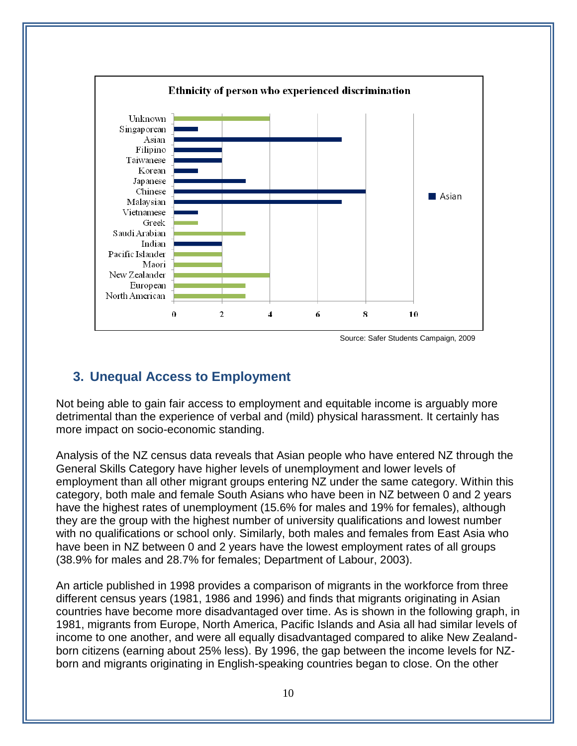

Source: Safer Students Campaign, 2009

# **3. Unequal Access to Employment**

Not being able to gain fair access to employment and equitable income is arguably more detrimental than the experience of verbal and (mild) physical harassment. It certainly has more impact on socio-economic standing.

Analysis of the NZ census data reveals that Asian people who have entered NZ through the General Skills Category have higher levels of unemployment and lower levels of employment than all other migrant groups entering NZ under the same category. Within this category, both male and female South Asians who have been in NZ between 0 and 2 years have the highest rates of unemployment (15.6% for males and 19% for females), although they are the group with the highest number of university qualifications and lowest number with no qualifications or school only. Similarly, both males and females from East Asia who have been in NZ between 0 and 2 years have the lowest employment rates of all groups (38.9% for males and 28.7% for females; Department of Labour, 2003).

An article published in 1998 provides a comparison of migrants in the workforce from three different census years (1981, 1986 and 1996) and finds that migrants originating in Asian countries have become more disadvantaged over time. As is shown in the following graph, in 1981, migrants from Europe, North America, Pacific Islands and Asia all had similar levels of income to one another, and were all equally disadvantaged compared to alike New Zealandborn citizens (earning about 25% less). By 1996, the gap between the income levels for NZborn and migrants originating in English-speaking countries began to close. On the other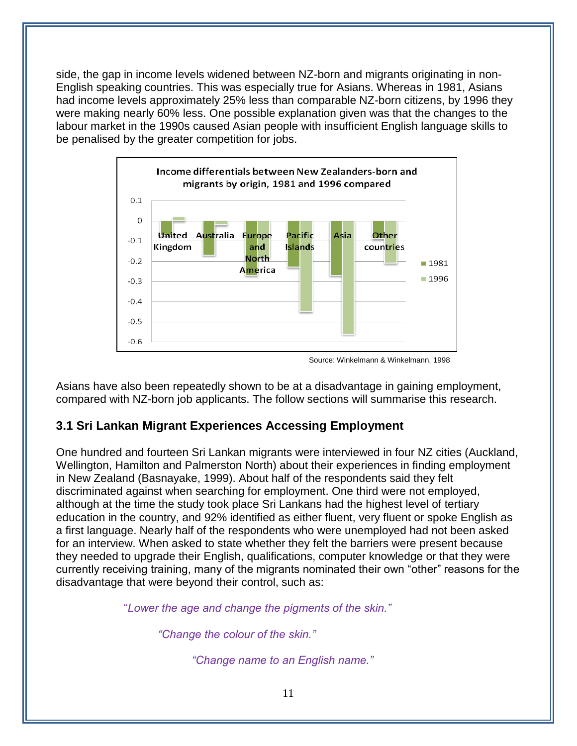side, the gap in income levels widened between NZ-born and migrants originating in non-English speaking countries. This was especially true for Asians. Whereas in 1981, Asians had income levels approximately 25% less than comparable NZ-born citizens, by 1996 they were making nearly 60% less. One possible explanation given was that the changes to the labour market in the 1990s caused Asian people with insufficient English language skills to be penalised by the greater competition for jobs.



Source: Winkelmann & Winkelmann, 1998

Asians have also been repeatedly shown to be at a disadvantage in gaining employment, compared with NZ-born job applicants. The follow sections will summarise this research.

## **3.1 Sri Lankan Migrant Experiences Accessing Employment**

One hundred and fourteen Sri Lankan migrants were interviewed in four NZ cities (Auckland, Wellington, Hamilton and Palmerston North) about their experiences in finding employment in New Zealand (Basnayake, 1999). About half of the respondents said they felt discriminated against when searching for employment. One third were not employed, although at the time the study took place Sri Lankans had the highest level of tertiary education in the country, and 92% identified as either fluent, very fluent or spoke English as a first language. Nearly half of the respondents who were unemployed had not been asked for an interview. When asked to state whether they felt the barriers were present because they needed to upgrade their English, qualifications, computer knowledge or that they were currently receiving training, many of the migrants nominated their own "other" reasons for the disadvantage that were beyond their control, such as:

"*Lower the age and change the pigments of the skin."* 

*"Change the colour of the skin."*

*"Change name to an English name."*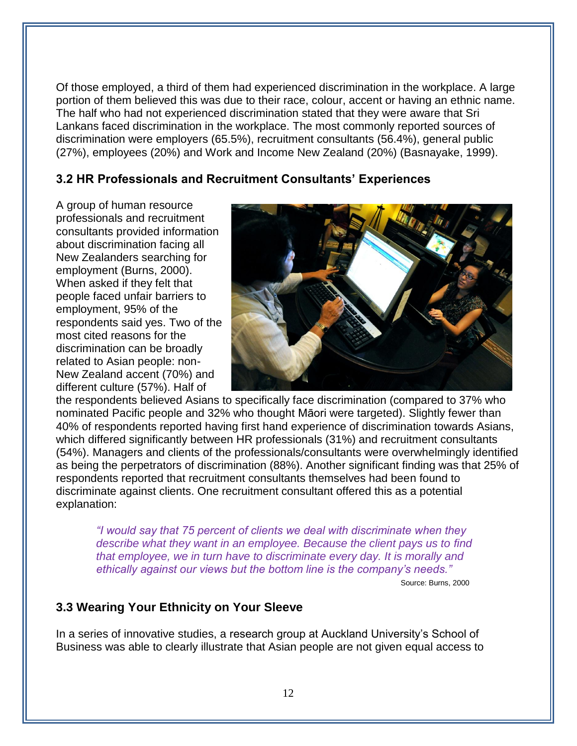Of those employed, a third of them had experienced discrimination in the workplace. A large portion of them believed this was due to their race, colour, accent or having an ethnic name. The half who had not experienced discrimination stated that they were aware that Sri Lankans faced discrimination in the workplace. The most commonly reported sources of discrimination were employers (65.5%), recruitment consultants (56.4%), general public (27%), employees (20%) and Work and Income New Zealand (20%) (Basnayake, 1999).

### **3.2 HR Professionals and Recruitment Consultants' Experiences**

A group of human resource professionals and recruitment consultants provided information about discrimination facing all New Zealanders searching for employment (Burns, 2000). When asked if they felt that people faced unfair barriers to employment, 95% of the respondents said yes. Two of the most cited reasons for the discrimination can be broadly related to Asian people: non-New Zealand accent (70%) and different culture (57%). Half of



the respondents believed Asians to specifically face discrimination (compared to 37% who nominated Pacific people and 32% who thought Māori were targeted). Slightly fewer than 40% of respondents reported having first hand experience of discrimination towards Asians, which differed significantly between HR professionals (31%) and recruitment consultants (54%). Managers and clients of the professionals/consultants were overwhelmingly identified as being the perpetrators of discrimination (88%). Another significant finding was that 25% of respondents reported that recruitment consultants themselves had been found to discriminate against clients. One recruitment consultant offered this as a potential explanation:

*"I would say that 75 percent of clients we deal with discriminate when they describe what they want in an employee. Because the client pays us to find that employee, we in turn have to discriminate every day. It is morally and ethically against our views but the bottom line is the company"s needs."* 

Source: Burns, 2000

## **3.3 Wearing Your Ethnicity on Your Sleeve**

In a series of innovative studies, a research group at Auckland University's School of Business was able to clearly illustrate that Asian people are not given equal access to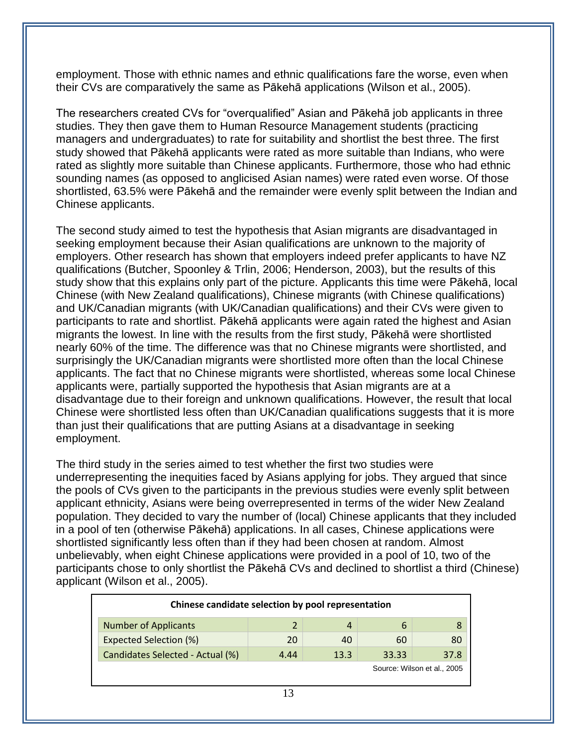employment. Those with ethnic names and ethnic qualifications fare the worse, even when their CVs are comparatively the same as Pākehā applications (Wilson et al., 2005).

The researchers created CVs for "overqualified" Asian and Pākehā job applicants in three studies. They then gave them to Human Resource Management students (practicing managers and undergraduates) to rate for suitability and shortlist the best three. The first study showed that Pākehā applicants were rated as more suitable than Indians, who were rated as slightly more suitable than Chinese applicants. Furthermore, those who had ethnic sounding names (as opposed to anglicised Asian names) were rated even worse. Of those shortlisted, 63.5% were Pākehā and the remainder were evenly split between the Indian and Chinese applicants.

The second study aimed to test the hypothesis that Asian migrants are disadvantaged in seeking employment because their Asian qualifications are unknown to the majority of employers. Other research has shown that employers indeed prefer applicants to have NZ qualifications (Butcher, Spoonley & Trlin, 2006; Henderson, 2003), but the results of this study show that this explains only part of the picture. Applicants this time were Pākehā, local Chinese (with New Zealand qualifications), Chinese migrants (with Chinese qualifications) and UK/Canadian migrants (with UK/Canadian qualifications) and their CVs were given to participants to rate and shortlist. Pākehā applicants were again rated the highest and Asian migrants the lowest. In line with the results from the first study, Pākehā were shortlisted nearly 60% of the time. The difference was that no Chinese migrants were shortlisted, and surprisingly the UK/Canadian migrants were shortlisted more often than the local Chinese applicants. The fact that no Chinese migrants were shortlisted, whereas some local Chinese applicants were, partially supported the hypothesis that Asian migrants are at a disadvantage due to their foreign and unknown qualifications. However, the result that local Chinese were shortlisted less often than UK/Canadian qualifications suggests that it is more than just their qualifications that are putting Asians at a disadvantage in seeking employment.

The third study in the series aimed to test whether the first two studies were underrepresenting the inequities faced by Asians applying for jobs. They argued that since the pools of CVs given to the participants in the previous studies were evenly split between applicant ethnicity, Asians were being overrepresented in terms of the wider New Zealand population. They decided to vary the number of (local) Chinese applicants that they included in a pool of ten (otherwise Pākehā) applications. In all cases, Chinese applications were shortlisted significantly less often than if they had been chosen at random. Almost unbelievably, when eight Chinese applications were provided in a pool of 10, two of the participants chose to only shortlist the Pākehā CVs and declined to shortlist a third (Chinese) applicant (Wilson et al., 2005).

| Chinese candidate selection by pool representation |      |      |       |      |  |  |
|----------------------------------------------------|------|------|-------|------|--|--|
| <b>Number of Applicants</b>                        | 2    | 4    | h     |      |  |  |
| <b>Expected Selection (%)</b>                      | 20   | 40   | 60    | 80   |  |  |
| Candidates Selected - Actual (%)                   | 4.44 | 13.3 | 33.33 | 37.8 |  |  |
| Source: Wilson et al., 2005                        |      |      |       |      |  |  |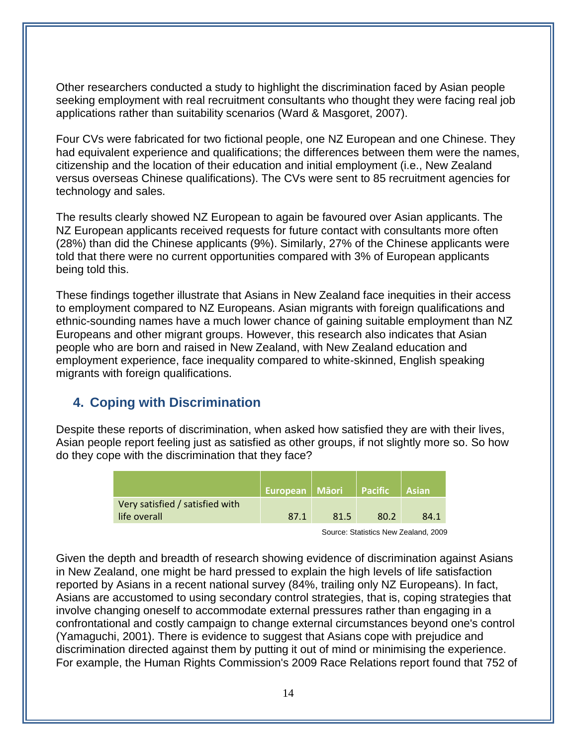Other researchers conducted a study to highlight the discrimination faced by Asian people seeking employment with real recruitment consultants who thought they were facing real job applications rather than suitability scenarios (Ward & Masgoret, 2007).

Four CVs were fabricated for two fictional people, one NZ European and one Chinese. They had equivalent experience and qualifications; the differences between them were the names, citizenship and the location of their education and initial employment (i.e., New Zealand versus overseas Chinese qualifications). The CVs were sent to 85 recruitment agencies for technology and sales.

The results clearly showed NZ European to again be favoured over Asian applicants. The NZ European applicants received requests for future contact with consultants more often (28%) than did the Chinese applicants (9%). Similarly, 27% of the Chinese applicants were told that there were no current opportunities compared with 3% of European applicants being told this.

These findings together illustrate that Asians in New Zealand face inequities in their access to employment compared to NZ Europeans. Asian migrants with foreign qualifications and ethnic-sounding names have a much lower chance of gaining suitable employment than NZ Europeans and other migrant groups. However, this research also indicates that Asian people who are born and raised in New Zealand, with New Zealand education and employment experience, face inequality compared to white-skinned, English speaking migrants with foreign qualifications.

# **4. Coping with Discrimination**

Despite these reports of discrimination, when asked how satisfied they are with their lives, Asian people report feeling just as satisfied as other groups, if not slightly more so. So how do they cope with the discrimination that they face?

|                                                 | <b>European Māori</b> |      | <b>Pacific</b> 1 | <b>Asian</b> |
|-------------------------------------------------|-----------------------|------|------------------|--------------|
| Very satisfied / satisfied with<br>life overall | 87.1                  | 81.5 | 80.2             | 84.1         |

Source: Statistics New Zealand, 2009

Given the depth and breadth of research showing evidence of discrimination against Asians in New Zealand, one might be hard pressed to explain the high levels of life satisfaction reported by Asians in a recent national survey (84%, trailing only NZ Europeans). In fact, Asians are accustomed to using secondary control strategies, that is, coping strategies that involve changing oneself to accommodate external pressures rather than engaging in a confrontational and costly campaign to change external circumstances beyond one's control (Yamaguchi, 2001). There is evidence to suggest that Asians cope with prejudice and discrimination directed against them by putting it out of mind or minimising the experience. For example, the Human Rights Commission's 2009 Race Relations report found that 752 of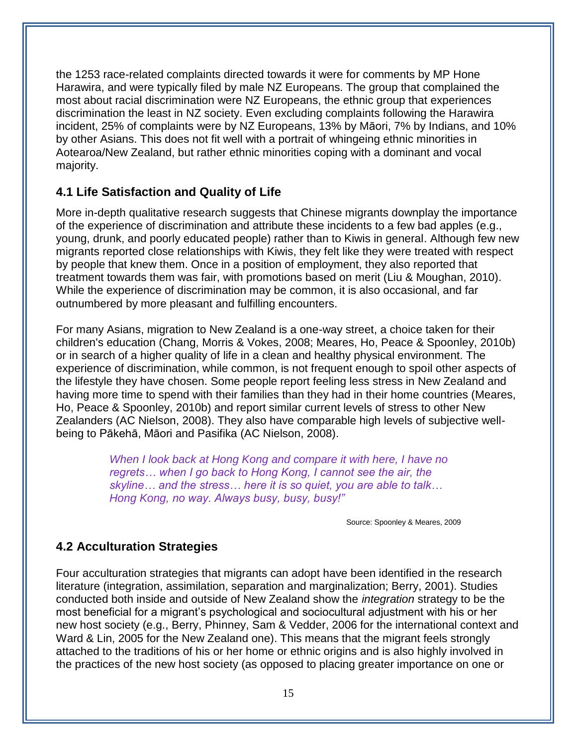the 1253 race-related complaints directed towards it were for comments by MP Hone Harawira, and were typically filed by male NZ Europeans. The group that complained the most about racial discrimination were NZ Europeans, the ethnic group that experiences discrimination the least in NZ society. Even excluding complaints following the Harawira incident, 25% of complaints were by NZ Europeans, 13% by Māori, 7% by Indians, and 10% by other Asians. This does not fit well with a portrait of whingeing ethnic minorities in Aotearoa/New Zealand, but rather ethnic minorities coping with a dominant and vocal majority.

# **4.1 Life Satisfaction and Quality of Life**

More in-depth qualitative research suggests that Chinese migrants downplay the importance of the experience of discrimination and attribute these incidents to a few bad apples (e.g., young, drunk, and poorly educated people) rather than to Kiwis in general. Although few new migrants reported close relationships with Kiwis, they felt like they were treated with respect by people that knew them. Once in a position of employment, they also reported that treatment towards them was fair, with promotions based on merit (Liu & Moughan, 2010). While the experience of discrimination may be common, it is also occasional, and far outnumbered by more pleasant and fulfilling encounters.

For many Asians, migration to New Zealand is a one-way street, a choice taken for their children's education (Chang, Morris & Vokes, 2008; Meares, Ho, Peace & Spoonley, 2010b) or in search of a higher quality of life in a clean and healthy physical environment. The experience of discrimination, while common, is not frequent enough to spoil other aspects of the lifestyle they have chosen. Some people report feeling less stress in New Zealand and having more time to spend with their families than they had in their home countries (Meares, Ho, Peace & Spoonley, 2010b) and report similar current levels of stress to other New Zealanders (AC Nielson, 2008). They also have comparable high levels of subjective wellbeing to Pākehā, Māori and Pasifika (AC Nielson, 2008).

> *When I look back at Hong Kong and compare it with here, I have no regrets… when I go back to Hong Kong, I cannot see the air, the skyline… and the stress… here it is so quiet, you are able to talk… Hong Kong, no way. Always busy, busy, busy!"*

> > Source: Spoonley & Meares, 2009

## **4.2 Acculturation Strategies**

Four acculturation strategies that migrants can adopt have been identified in the research literature (integration, assimilation, separation and marginalization; Berry, 2001). Studies conducted both inside and outside of New Zealand show the *integration* strategy to be the most beneficial for a migrant's psychological and sociocultural adjustment with his or her new host society (e.g., Berry, Phinney, Sam & Vedder, 2006 for the international context and Ward & Lin, 2005 for the New Zealand one). This means that the migrant feels strongly attached to the traditions of his or her home or ethnic origins and is also highly involved in the practices of the new host society (as opposed to placing greater importance on one or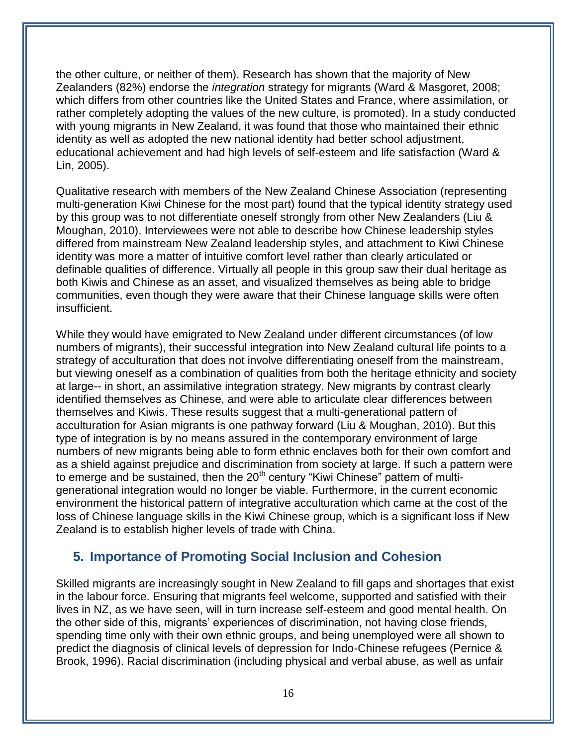the other culture, or neither of them). Research has shown that the majority of New Zealanders (82%) endorse the *integration* strategy for migrants (Ward & Masgoret, 2008; which differs from other countries like the United States and France, where assimilation, or rather completely adopting the values of the new culture, is promoted). In a study conducted with young migrants in New Zealand, it was found that those who maintained their ethnic identity as well as adopted the new national identity had better school adjustment, educational achievement and had high levels of self-esteem and life satisfaction (Ward & Lin, 2005).

Qualitative research with members of the New Zealand Chinese Association (representing multi-generation Kiwi Chinese for the most part) found that the typical identity strategy used by this group was to not differentiate oneself strongly from other New Zealanders (Liu & Moughan, 2010). Interviewees were not able to describe how Chinese leadership styles differed from mainstream New Zealand leadership styles, and attachment to Kiwi Chinese identity was more a matter of intuitive comfort level rather than clearly articulated or definable qualities of difference. Virtually all people in this group saw their dual heritage as both Kiwis and Chinese as an asset, and visualized themselves as being able to bridge communities, even though they were aware that their Chinese language skills were often insufficient.

While they would have emigrated to New Zealand under different circumstances (of low numbers of migrants), their successful integration into New Zealand cultural life points to a strategy of acculturation that does not involve differentiating oneself from the mainstream, but viewing oneself as a combination of qualities from both the heritage ethnicity and society at large-- in short, an assimilative integration strategy. New migrants by contrast clearly identified themselves as Chinese, and were able to articulate clear differences between themselves and Kiwis. These results suggest that a multi-generational pattern of acculturation for Asian migrants is one pathway forward (Liu & Moughan, 2010). But this type of integration is by no means assured in the contemporary environment of large numbers of new migrants being able to form ethnic enclaves both for their own comfort and as a shield against prejudice and discrimination from society at large. If such a pattern were to emerge and be sustained, then the 20<sup>th</sup> century "Kiwi Chinese" pattern of multigenerational integration would no longer be viable. Furthermore, in the current economic environment the historical pattern of integrative acculturation which came at the cost of the loss of Chinese language skills in the Kiwi Chinese group, which is a significant loss if New Zealand is to establish higher levels of trade with China.

# **5. Importance of Promoting Social Inclusion and Cohesion**

Skilled migrants are increasingly sought in New Zealand to fill gaps and shortages that exist in the labour force. Ensuring that migrants feel welcome, supported and satisfied with their lives in NZ, as we have seen, will in turn increase self-esteem and good mental health. On the other side of this, migrants' experiences of discrimination, not having close friends, spending time only with their own ethnic groups, and being unemployed were all shown to predict the diagnosis of clinical levels of depression for Indo-Chinese refugees (Pernice & Brook, 1996). Racial discrimination (including physical and verbal abuse, as well as unfair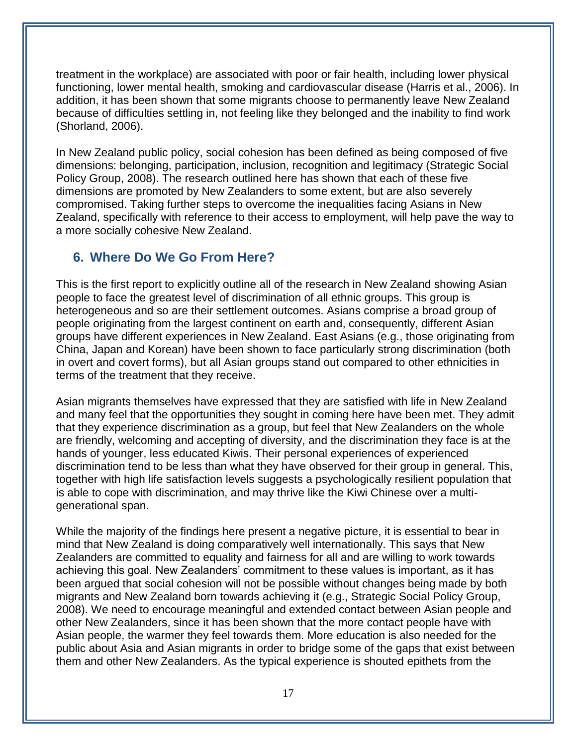treatment in the workplace) are associated with poor or fair health, including lower physical functioning, lower mental health, smoking and cardiovascular disease (Harris et al., 2006). In addition, it has been shown that some migrants choose to permanently leave New Zealand because of difficulties settling in, not feeling like they belonged and the inability to find work (Shorland, 2006).

In New Zealand public policy, social cohesion has been defined as being composed of five dimensions: belonging, participation, inclusion, recognition and legitimacy (Strategic Social Policy Group, 2008). The research outlined here has shown that each of these five dimensions are promoted by New Zealanders to some extent, but are also severely compromised. Taking further steps to overcome the inequalities facing Asians in New Zealand, specifically with reference to their access to employment, will help pave the way to a more socially cohesive New Zealand.

# **6. Where Do We Go From Here?**

This is the first report to explicitly outline all of the research in New Zealand showing Asian people to face the greatest level of discrimination of all ethnic groups. This group is heterogeneous and so are their settlement outcomes. Asians comprise a broad group of people originating from the largest continent on earth and, consequently, different Asian groups have different experiences in New Zealand. East Asians (e.g., those originating from China, Japan and Korean) have been shown to face particularly strong discrimination (both in overt and covert forms), but all Asian groups stand out compared to other ethnicities in terms of the treatment that they receive.

Asian migrants themselves have expressed that they are satisfied with life in New Zealand and many feel that the opportunities they sought in coming here have been met. They admit that they experience discrimination as a group, but feel that New Zealanders on the whole are friendly, welcoming and accepting of diversity, and the discrimination they face is at the hands of younger, less educated Kiwis. Their personal experiences of experienced discrimination tend to be less than what they have observed for their group in general. This, together with high life satisfaction levels suggests a psychologically resilient population that is able to cope with discrimination, and may thrive like the Kiwi Chinese over a multigenerational span.

While the majority of the findings here present a negative picture, it is essential to bear in mind that New Zealand is doing comparatively well internationally. This says that New Zealanders are committed to equality and fairness for all and are willing to work towards achieving this goal. New Zealanders' commitment to these values is important, as it has been argued that social cohesion will not be possible without changes being made by both migrants and New Zealand born towards achieving it (e.g., Strategic Social Policy Group, 2008). We need to encourage meaningful and extended contact between Asian people and other New Zealanders, since it has been shown that the more contact people have with Asian people, the warmer they feel towards them. More education is also needed for the public about Asia and Asian migrants in order to bridge some of the gaps that exist between them and other New Zealanders. As the typical experience is shouted epithets from the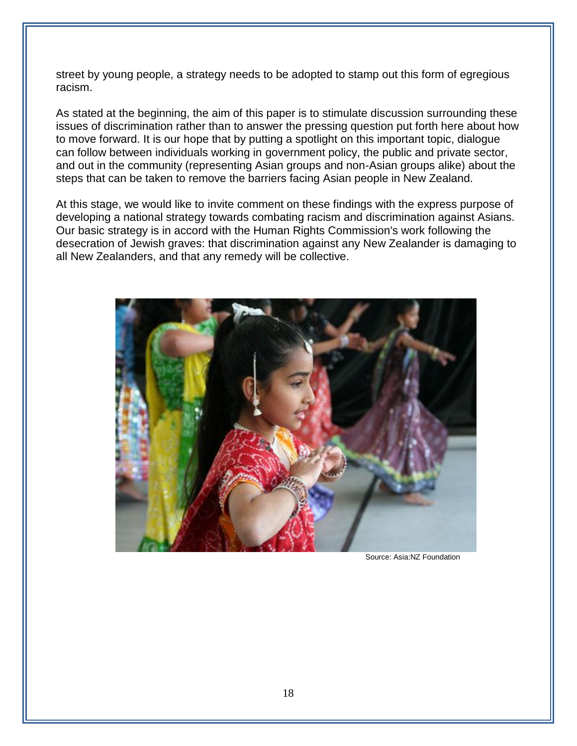street by young people, a strategy needs to be adopted to stamp out this form of egregious racism.

As stated at the beginning, the aim of this paper is to stimulate discussion surrounding these issues of discrimination rather than to answer the pressing question put forth here about how to move forward. It is our hope that by putting a spotlight on this important topic, dialogue can follow between individuals working in government policy, the public and private sector, and out in the community (representing Asian groups and non-Asian groups alike) about the steps that can be taken to remove the barriers facing Asian people in New Zealand.

At this stage, we would like to invite comment on these findings with the express purpose of developing a national strategy towards combating racism and discrimination against Asians. Our basic strategy is in accord with the Human Rights Commission's work following the desecration of Jewish graves: that discrimination against any New Zealander is damaging to all New Zealanders, and that any remedy will be collective.



Source: Asia:NZ Foundation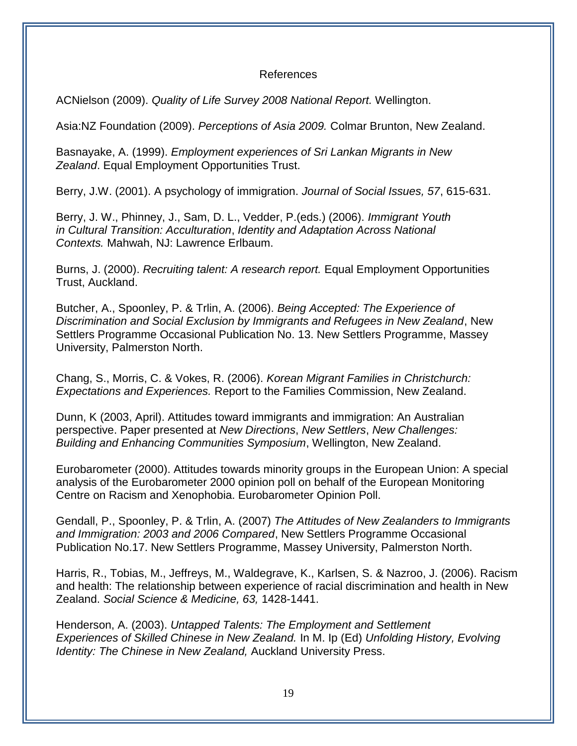#### References

ACNielson (2009). *Quality of Life Survey 2008 National Report.* Wellington.

Asia:NZ Foundation (2009). *Perceptions of Asia 2009.* Colmar Brunton, New Zealand.

Basnayake, A. (1999). *Employment experiences of Sri Lankan Migrants in New Zealand*. Equal Employment Opportunities Trust.

Berry, J.W. (2001). A psychology of immigration. *Journal of Social Issues, 57*, 615-631.

Berry, J. W., Phinney, J., Sam, D. L., Vedder, P.(eds.) (2006). *Immigrant Youth in Cultural Transition: Acculturation*, *Identity and Adaptation Across National Contexts.* Mahwah, NJ: Lawrence Erlbaum.

Burns, J. (2000). *Recruiting talent: A research report.* Equal Employment Opportunities Trust, Auckland.

Butcher, A., Spoonley, P. & Trlin, A. (2006). *Being Accepted: The Experience of Discrimination and Social Exclusion by Immigrants and Refugees in New Zealand*, New Settlers Programme Occasional Publication No. 13. New Settlers Programme, Massey University, Palmerston North.

Chang, S., Morris, C. & Vokes, R. (2006). *Korean Migrant Families in Christchurch: Expectations and Experiences.* Report to the Families Commission, New Zealand.

Dunn, K (2003, April). Attitudes toward immigrants and immigration: An Australian perspective. Paper presented at *New Directions*, *New Settlers*, *New Challenges: Building and Enhancing Communities Symposium*, Wellington, New Zealand.

Eurobarometer (2000). Attitudes towards minority groups in the European Union: A special analysis of the Eurobarometer 2000 opinion poll on behalf of the European Monitoring Centre on Racism and Xenophobia. Eurobarometer Opinion Poll.

Gendall, P., Spoonley, P. & Trlin, A. (2007) *The Attitudes of New Zealanders to Immigrants and Immigration: 2003 and 2006 Compared*, New Settlers Programme Occasional Publication No.17. New Settlers Programme, Massey University, Palmerston North.

Harris, R., Tobias, M., Jeffreys, M., Waldegrave, K., Karlsen, S. & Nazroo, J. (2006). Racism and health: The relationship between experience of racial discrimination and health in New Zealand. *Social Science & Medicine, 63,* 1428-1441.

Henderson, A. (2003). *Untapped Talents: The Employment and Settlement Experiences of Skilled Chinese in New Zealand.* In M. Ip (Ed) *Unfolding History, Evolving Identity: The Chinese in New Zealand,* Auckland University Press.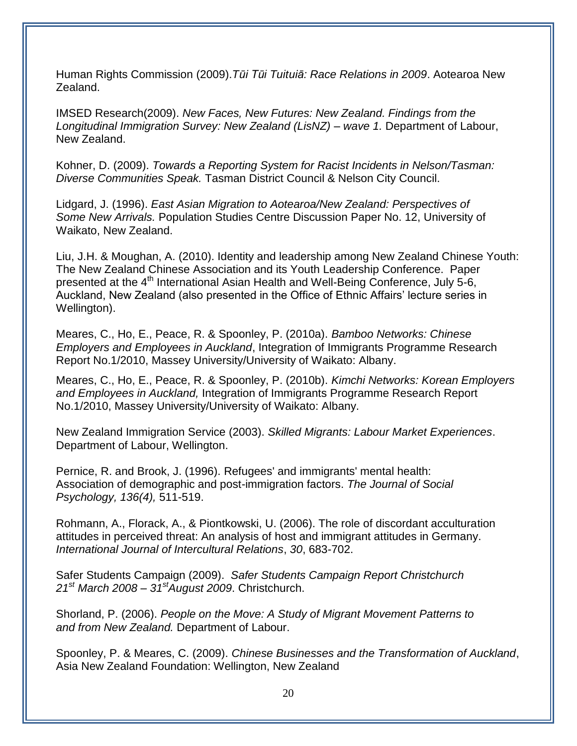Human Rights Commission (2009).*Tūi Tūi Tuituiā: Race Relations in 2009*. Aotearoa New Zealand.

IMSED Research(2009). *New Faces, New Futures: New Zealand. Findings from the Longitudinal Immigration Survey: New Zealand (LisNZ) – wave 1.* Department of Labour, New Zealand.

Kohner, D. (2009). *Towards a Reporting System for Racist Incidents in Nelson/Tasman: Diverse Communities Speak.* Tasman District Council & Nelson City Council.

Lidgard, J. (1996). *East Asian Migration to Aotearoa/New Zealand: Perspectives of Some New Arrivals.* Population Studies Centre Discussion Paper No. 12, University of Waikato, New Zealand.

Liu, J.H. & Moughan, A. (2010). Identity and leadership among New Zealand Chinese Youth: The New Zealand Chinese Association and its Youth Leadership Conference. Paper presented at the 4<sup>th</sup> International Asian Health and Well-Being Conference, July 5-6, Auckland, New Zealand (also presented in the Office of Ethnic Affairs' lecture series in Wellington).

Meares, C., Ho, E., Peace, R. & Spoonley, P. (2010a). *Bamboo Networks: Chinese Employers and Employees in Auckland*, Integration of Immigrants Programme Research Report No.1/2010, Massey University/University of Waikato: Albany.

Meares, C., Ho, E., Peace, R. & Spoonley, P. (2010b). *Kimchi Networks: Korean Employers and Employees in Auckland,* Integration of Immigrants Programme Research Report No.1/2010, Massey University/University of Waikato: Albany.

New Zealand Immigration Service (2003). *Skilled Migrants: Labour Market Experiences*. Department of Labour, Wellington.

Pernice, R. and Brook, J. (1996). Refugees' and immigrants' mental health: Association of demographic and post-immigration factors. *The Journal of Social Psychology, 136(4),* 511-519.

Rohmann, A., Florack, A., & Piontkowski, U. (2006). The role of discordant acculturation attitudes in perceived threat: An analysis of host and immigrant attitudes in Germany. *International Journal of Intercultural Relations*, *30*, 683-702.

Safer Students Campaign (2009). *Safer Students Campaign Report Christchurch 21st March 2008 – 31stAugust 2009*. Christchurch.

Shorland, P. (2006). *People on the Move: A Study of Migrant Movement Patterns to and from New Zealand.* Department of Labour.

Spoonley, P. & Meares, C. (2009). *Chinese Businesses and the Transformation of Auckland*, Asia New Zealand Foundation: Wellington, New Zealand